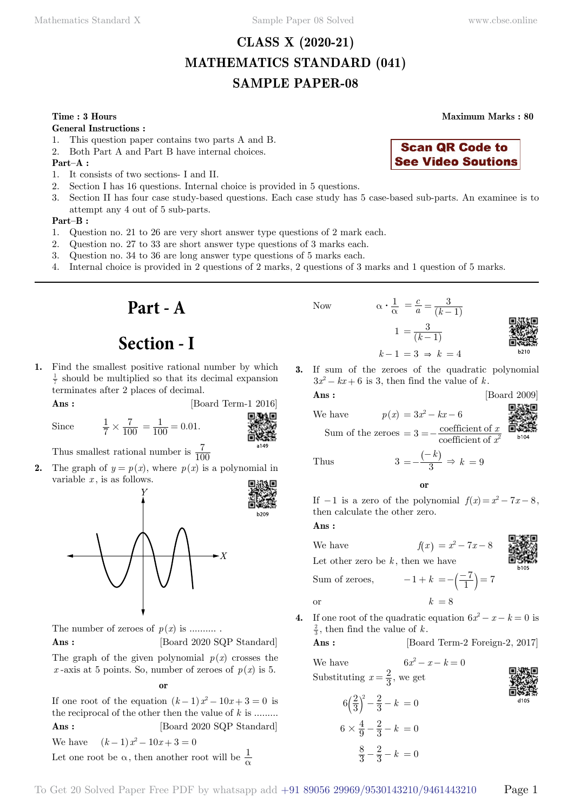## **CLASS X (2020-21) MATHEMATICS STANDARD (041) SAMPLE PAPER-08**

#### **General Instructions :**

- 1. This question paper contains two parts A and B.
- 2. Both Part A and Part B have internal choices.

#### **Part–A :**

- 1. It consists of two sections- I and II.
- 2. Section I has 16 questions. Internal choice is provided in 5 questions.
- 3. Section II has four case study-based questions. Each case study has 5 case-based sub-parts. An examinee is to attempt any 4 out of 5 sub-parts.

#### **Part–B :**

- 1. Question no. 21 to 26 are very short answer type questions of 2 mark each.
- 2. Question no. 27 to 33 are short answer type questions of 3 marks each.
- 3. Question no. 34 to 36 are long answer type questions of 5 marks each.
- 4. Internal choice is provided in 2 questions of 2 marks, 2 questions of 3 marks and 1 question of 5 marks.

**Part - A**

## **Section - I**

**1.** Find the smallest positive rational number by which  $\frac{1}{7}$  should be multiplied so that its decimal expansion terminates after 2 places of decimal.

$$
Ans: \qquad \qquad [\text{Board Term-1 2016}]
$$

Since 
$$
\frac{1}{7}
$$

$$
\begin{matrix}\n\mathbf{1} & \mathbf{1} \\
\mathbf{1} & \mathbf{1} \\
\mathbf{1} & \mathbf{1} \\
\mathbf{1} & \mathbf{1} \\
\mathbf{1} & \mathbf{1} \\
\mathbf{1} & \mathbf{1} \\
\mathbf{1} & \mathbf{1} \\
\mathbf{1} & \mathbf{1} \\
\mathbf{1} & \mathbf{1} \\
\mathbf{1} & \mathbf{1} \\
\mathbf{1} & \mathbf{1} \\
\mathbf{1} & \mathbf{1} \\
\mathbf{1} & \mathbf{1} \\
\mathbf{1} & \mathbf{1} \\
\mathbf{1} & \mathbf{1} \\
\mathbf{1} & \mathbf{1} \\
\mathbf{1} & \mathbf{1} \\
\mathbf{1} & \mathbf{1} \\
\mathbf{1} & \mathbf{1} \\
\mathbf{1} & \mathbf{1} \\
\mathbf{1} & \mathbf{1} \\
\mathbf{1} & \mathbf{1} \\
\mathbf{1} & \mathbf{1} \\
\mathbf{1} & \mathbf{1} \\
\mathbf{1} & \mathbf{1} \\
\mathbf{1} & \mathbf{1} \\
\mathbf{1} & \mathbf{1} \\
\mathbf{1} & \mathbf{1} \\
\mathbf{1} & \mathbf{1} \\
\mathbf{1} & \mathbf{1} \\
\mathbf{1} & \mathbf{1} \\
\mathbf{1} & \mathbf{1} \\
\mathbf{1} & \mathbf{1} \\
\mathbf{1} & \mathbf{1} \\
\mathbf{1} & \mathbf{1} \\
\mathbf{1} & \mathbf{1} \\
\mathbf{1} & \mathbf{1} \\
\mathbf{1} & \mathbf{1} \\
\mathbf{1} & \mathbf{1} \\
\mathbf{1} & \mathbf{1} \\
\mathbf{1} & \mathbf{1} \\
\mathbf{1} & \mathbf{1} \\
\mathbf{1} & \mathbf{1} \\
\mathbf{1} & \mathbf{1} \\
\mathbf{1} & \mathbf{1} \\
\mathbf{1} & \mathbf{1} \\
\mathbf{1} & \mathbf{1} \\
\mathbf{1} & \mathbf{1} \\
\mathbf{1} & \mathbf{1} \\
\mathbf{1} & \mathbf{1} \\
\mathbf{1} & \mathbf{1} \\
\mathbf{1} & \mathbf{1} \\
\mathbf{1} & \mathbf{1} \\
\mathbf{1} & \mathbf{1
$$

Thus smallest rational number is  $\frac{7}{100}$ 

**2.** The graph of  $y = p(x)$ , where  $p(x)$  is a polynomial in variable  $x$ , is as follows.

 $\times \frac{7}{100} = \frac{1}{100} = 0.01.$ 



The number of zeroes of  $p(x)$  is ..........

**Ans :** [Board 2020 SQP Standard]

The graph of the given polynomial  $p(x)$  crosses the x-axis at 5 points. So, number of zeroes of  $p(x)$  is 5.

 **o**

If one root of the equation  $(k-1) x^2 - 10x + 3 = 0$  is the reciprocal of the other then the value of *k* is ......... **Ans :** [Board 2020 SQP Standard] We have  $(k-1)x^2 - 10x + 3 = 0$ 

Let one root be 
$$
\alpha
$$
, then another root will be  $\frac{1}{\alpha}$ 

**Time : 3 Hours Maximum Marks : 80**



**3.** If sum of the zeroes of the quadratic polynomial  $3x^2 - kx + 6$  is 3, then find the value of k.

**Ans :** [Board 2009]

We have 
$$
p(x) = 3x^2 - kx - 6
$$
  
Sum of the zeroes  $= 3 = -\frac{\text{coefficient of } x}{\text{cos } x} = \frac{1}{2}$ 

Sum of the zeroes =  $3 = -\frac{\text{coefficient of } x}{\text{coefficient of } x^2}$ 

 $1 = \frac{3}{(k-1)}$ 

 $k-1 = 3 \Rightarrow k = 4$ 

Now  $\alpha \cdot \frac{1}{\alpha} = \frac{c}{a} = \frac{3}{(k-1)}$ 

Thus

$$
= -\frac{(-k)}{3} \Rightarrow k = 9
$$
 or

If  $-1$  is a zero of the polynomial  $f(x) = x^2 - 7x - 8$ , then calculate the other zero.

 **Ans :**

We have  $f(x) = x^2 - 7x - 8$ 

Let other zero be  $k$ , then we have

Sum of zeroes,  $-1 + k = -(\frac{-7}{1}) = 7$ 

or 
$$
k = 8
$$

**4.** If one root of the quadratic equation  $6x^2 - x - k = 0$  is  $\frac{2}{3}$ , then find the value of *k*.

**Ans :** [Board Term-2 Foreign-2, 2017]

We have  $6x^2 - x - k = 0$ Substituting  $x = \frac{2}{3}$ , we get

$$
6\left(\frac{2}{3}\right)^2 - \frac{2}{3} - k = 0
$$
  

$$
6 \times \frac{4}{9} - \frac{2}{3} - k = 0
$$
  

$$
\frac{8}{3} - \frac{2}{3} - k = 0
$$

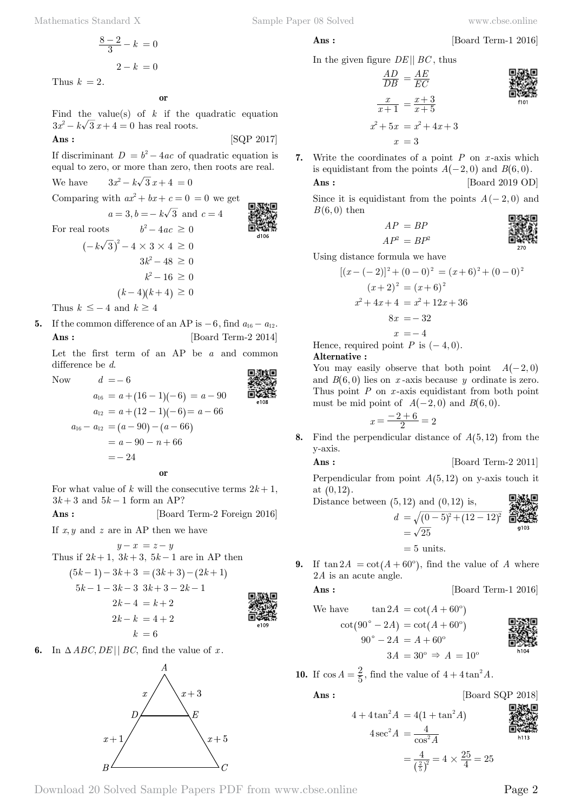$$
\frac{8-2}{3} - k = 0
$$

$$
2 - k = 0
$$

Thus  $k = 2$ .

#### **o**

Find the value(s) of  $k$  if the quadratic equation  $3x^2 - k\sqrt{3} x + 4 = 0$  has real roots.

$$
Ans: \qquad \qquad [SQP 2017]
$$

If discriminant  $D = b^2 - 4ac$  of quadratic equation is equal to zero, or more than zero, then roots are real.

We have  $3x^2 - k\sqrt{3}x + 4 = 0$ 

Comparing with  $ax^2 + bx + c = 0 = 0$  we get

$$
a = 3, b = -k\sqrt{3} \text{ and } c = 4
$$
  
For real roots 
$$
b^2 - 4ac \ge 0
$$

$$
(-k\sqrt{3})^2 - 4 \times 3 \times 4 \ge 0
$$

$$
3k^2 - 48 \ge 0
$$

$$
k^2 - 16 \ge 0
$$

$$
(k - 4)(k + 4) \ge 0
$$

Thus  $k \leq -4$  and  $k \geq 4$ 

**5.** If the common difference of an AP is  $-6$ , find  $a_{16} - a_{12}$ . **Ans :** [Board Term-2 2014]

Let the first term of an AP be *a* and common difference be *d*. 南海水南

Now 
$$
d = -6
$$
  
\n $a_{16} = a + (16 - 1)(-6) = a - 90$   
\n $a_{12} = a + (12 - 1)(-6) = a - 66$   
\n $a_{16} - a_{12} = (a - 90) - (a - 66)$   
\n $= a - 90 - n + 66$   
\n $= - 24$ 

For what value of k will the consecutive terms  $2k + 1$ ,  $3k+3$  and  $5k-1$  form an AP?

**Ans :** [Board Term-2 Foreign 2016]

If  $x, y$  and  $z$  are in AP then we have

$$
y - x = z - y
$$
  
Thus if  $2k+1$ ,  $3k+3$ ,  $5k-1$  are in AP then

$$
(5k-1)-3k+3 = (3k+3)-(2k+1)
$$
  
\n
$$
5k-1-3k-3 \t 3k+3-2k-1
$$
  
\n
$$
2k-4 = k+2
$$
  
\n
$$
2k-k = 4+2
$$
  
\n
$$
k = 6
$$
  
\n**EXAMPLE 10**  
\n**EXAMPLE 21**  
\n**EXAMPLE 32**  
\n**EXAMPLE 41**  
\n**EXAMPLE 43**  
\n**EXAMPLE 44**  
\n**EXAMPLE 44**  
\n**EXAMPLE 44**  
\n**EXAMPLE 44**  
\n**EXAMPLE 44**  
\n**EXAMPLE 44**  
\n**EXAMPLE 44**  
\n**EXAMPLE 44**  
\n**EXAMPLE 44**  
\n**EXAMPLE 44**  
\n**EXAMPLE 44**  
\n**EXAMPLE 44**  
\n**EXAMPLE 44**  
\n**EXAMPLE 44**  
\n**EXAMPLE 44**  
\n**EXAMPLE 44**  
\n**EXAMPLE 44**  
\n**EXAMPLE 44**  
\n**EXAMPLE 44**  
\n**EXAMPLE 44**  
\n**EXAMPLE 44**  
\n**EXAMPLE 44**  
\n**EXAMPLE 44**  
\n**EXAMPLE 44**  
\n**EXAMPLE 44**  
\n**EXAMPLE 44**  
\n**EXAMPLE 44**  
\n**EXAMPLE 44**  
\n**EXAMPLE 44**  
\n**EXAMPLE 44**  
\n**EXAMPLE 44**  
\n**EXAMPLE 44**  
\n**EXAMPLE 44**  
\n**EXAMPLE 44**  
\n**EXAMPLE 44**  
\n**EXAMPLE 44**  
\n**EXAMPLE 44**  
\n**EXAMPLE 44**  
\n**EXAMPLE 44**  
\n**EXAMPLE 44**  
\n**EXAMPLE 44**  
\n**EXAMPLE 44**  
\n**EXAMPLE 44**  
\n**EXAMPLE 44**  
\n**EXAMPLE 44**  
\n**EXAMPLE 44**  
\n**EXAMPLE 44**  
\n**EXAMPLE 44**  
\n**EXAMPLE 44**

**6.** In  $\triangle ABC, DE \parallel BC$ , find the value of *x*.

 $x+3$  $x+1$  $x+5$ 



In the given figure 
$$
DE \parallel BC
$$
, thus

$$
\frac{AD}{DB} = \frac{AE}{EC}
$$

$$
\frac{x}{x+1} = \frac{x+3}{x+5}
$$

$$
x^2 + 5x = x^2 + 4x + 3
$$

$$
x = 3
$$

**7.** Write the coordinates of a point *P* on *x* -axis which is equidistant from the points  $A(-2, 0)$  and  $B(6, 0)$ . **Ans :** [Board 2019 OD]

Since it is equidistant from the points  $A(-2,0)$  and  $B(6,0)$  then 南海野南

$$
AP = BP
$$
  
\n
$$
AP^2 = BP^2
$$
  
\n
$$
AP^2 = BP^2
$$
  
\n
$$
AP^2 = BP^2
$$
  
\n
$$
SP^2
$$
  
\n
$$
SP^2
$$
  
\n
$$
SP^2
$$
  
\n
$$
SP^2
$$
  
\n
$$
SP^2
$$
  
\n
$$
SP^2
$$
  
\n
$$
SP^2
$$
  
\n
$$
SP^2
$$
  
\n
$$
SP^2
$$
  
\n
$$
SP^2
$$

Using distance formula we have

$$
[(x - (-2)]^2 + (0 - 0)^2 = (x + 6)^2 + (0 - 0)^2
$$
  
\n
$$
(x + 2)^2 = (x + 6)^2
$$
  
\n
$$
x^2 + 4x + 4 = x^2 + 12x + 36
$$
  
\n
$$
8x = -32
$$
  
\n
$$
x = -4
$$

Hence, required point  $P$  is  $(-4, 0)$ .

#### **Alternative :**

You may easily observe that both point  $A(-2,0)$ and  $B(6, 0)$  lies on *x* -axis because *y* ordinate is zero. Thus point *P* on *x* -axis equidistant from both point must be mid point of  $A(-2, 0)$  and  $B(6, 0)$ .

$$
x = \frac{-2 + 6}{2} = 2
$$

**8.** Find the perpendicular distance of  $A(5, 12)$  from the y-axis.

**Ans :** [Board Term-2 2011]

Perpendicular from point  $A(5, 12)$  on y-axis touch it at  $(0, 12)$ .

Distance between (5, 12) and (0, 12) is,  
\n
$$
d = \sqrt{(0-5)^2 + (12-12)^2} \underbrace{4 \cdot 12}_{\text{min}} = \sqrt{25}
$$
\n
$$
= 5 \text{ units.}
$$

**9.** If  $tan 2A = cot(A + 60^\circ)$ , find the value of *A* where 2*A* is an acute angle.

$$
f_{\rm{max}}
$$

$$
Ans: \qquad \qquad [\text{Board Term-1 2016}]
$$

We have 
$$
\tan 2A = \cot (A + 60^{\circ})
$$
  
\n $\cot (90^{\circ} - 2A) = \cot (A + 60^{\circ})$   
\n $90^{\circ} - 2A = A + 60^{\circ}$   
\n $3A = 30^{\circ} \Rightarrow A = 10^{\circ}$ 

**10.** If  $\cos A = \frac{2}{5}$ , find the value of  $4 + 4\tan^2 A$ .

**Ans :** [Board SQP 2018]

$$
4 + 4 \tan^2 A = 4(1 + \tan^2 A)
$$
  

$$
4 \sec^2 A = \frac{4}{\cos^2 A}
$$
  

$$
= \frac{4}{(\frac{2}{5})^2} = 4 \times \frac{25}{4} =
$$



<sup>25</sup> <sup>25</sup>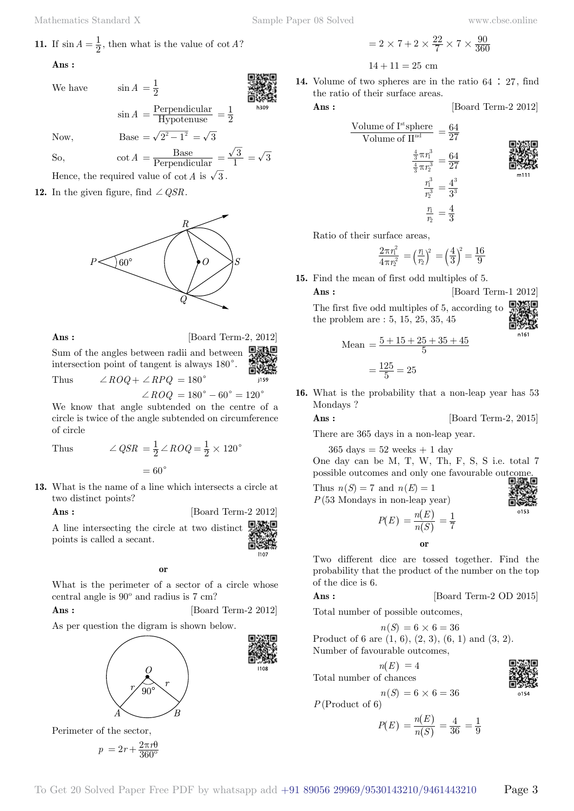**11.** If 
$$
\sin A = \frac{1}{2}
$$
, then what is the value of  $\cot A$ ?

 **Ans :**

We have  $\sin A = \frac{1}{2}$ 

$$
\frac{1}{\sin \theta}
$$

$$
\sin A = \frac{\text{Perpendicular}}{\text{Hypotenuse}} = \frac{1}{2}
$$

Now, Base =  $\sqrt{2^2 - 1^2} = \sqrt{3}$ 

So,  $\cot A = \frac{\text{Base}}{\text{Perpendicular}} = \frac{\sqrt{3}}{1} = \sqrt{3}$ Hence, the required value of  $\cot A$  is  $\sqrt{3}$ .

**12.** In the given figure, find  $\angle QSR$ .

 $\bigcirc$  60 $^{\circ}$ 

**Ans :** [Board Term-2, 2012]

Sum of the angles between radii and between intersection point of tangent is always  $180^{\circ}$ .

 $\angle$ *ROQ* +  $\angle$ *RPQ* = 180<sup>°</sup>

 $\angle ROQ = 180^{\circ} - 60^{\circ} = 120^{\circ}$ 

 $=\frac{1}{2} \angle ROQ = \frac{1}{2} \times 120^{\circ}$ 

We know that angle subtended on the centre of a circle is twice of the angle subtended on circumference of circle

Thus  $\angle QSR = \frac{1}{2} \angle ROQ$ 

 $= 60^\circ$ 

**13.** What is the name of a line which intersects a circle at two distinct points?

**Ans :** [Board Term-2 2012]

A line intersecting the circle at two distinct points is called a secant.

#### **o**

What is the perimeter of a sector of a circle whose central angle is 90º and radius is 7 cm?

**Ans :** [Board Term-2 2012]

As per question the digram is shown below.



Perimeter of the sector,

$$
p = 2r + \frac{2\pi r \theta}{360^{\circ}}
$$

 $= 2 \times 7 + 2 \times \frac{22}{7} \times 7 \times \frac{90}{360}$  $14 + 11 = 25$  cm

**14.** Volume of two spheres are in the ratio 64 : 27, find the ratio of their surface areas.

**Ans :** [Board Term-2 2012]



Ratio of their surface areas,

$$
\frac{2\pi r_1^2}{4\pi r_2^2} = \left(\frac{r_1}{r_2}\right)^2 = \left(\frac{4}{3}\right)^2 = \frac{16}{9}
$$

2

**15.** Find the mean of first odd multiples of 5.

**Ans :** [Board Term-1 2012]

The first five odd multiples of 5, according to the problem are : 5, 15, 25, 35, 45

$$
\frac{1}{2}
$$

n161

Mean 
$$
=
$$
  $\frac{5 + 15 + 25 + 35 + 45}{5}$   
 $=$   $\frac{125}{5} = 25$ 

**16.** What is the probability that a non-leap year has 53 Mondays ?

$$
Ans: \qquad \qquad [\text{Board Term-2, 2015}]
$$

There are 365 days in a non-leap year.

 $365 \text{ days} = 52 \text{ weeks} + 1 \text{ day}$ 

One day can be M, T, W, Th, F, S, S i.e. total 7 possible outcomes and only one favourable outcome.

Thus  $n(S) = 7$  and  $n(E) = 1$ *P*(53 Mondays in non-leap year)

$$
\sum_{\substack{\text{min}\\\text{min}\\\text{min}}
$$

$$
P(E) = \frac{n(E)}{n(S)} = \frac{1}{7}
$$

Two different dice are tossed together. Find the probability that the product of the number on the top of the dice is 6.

 **o**

### **Ans :** [Board Term-2 OD 2015]

Total number of possible outcomes,

 $n(S) = 6 \times 6 = 36$ 

Product of 6 are (1, 6), (2, 3), (6, 1) and (3, 2). Number of favourable outcomes,



 $n(S) = 6 \times 6 = 36$ 

$$
P(\text{Product of 6})
$$
  
 $P(E) = \frac{n(E)}{n(S)} = \frac{4}{36} = \frac{1}{9}$ 

 $\left( S\right)$ 

$$
\begin{array}{c}\n\mathbf{1} \\
\mathbf{2} \\
\mathbf{3} \\
\mathbf{4} \\
\mathbf{5} \\
\mathbf{6} \\
\mathbf{7} \\
\mathbf{8} \\
\mathbf{1} \\
\mathbf{1} \\
\mathbf{1} \\
\mathbf{1} \\
\mathbf{1} \\
\mathbf{1} \\
\mathbf{1} \\
\mathbf{1} \\
\mathbf{1} \\
\mathbf{1} \\
\mathbf{1} \\
\mathbf{1} \\
\mathbf{1} \\
\mathbf{1} \\
\mathbf{1} \\
\mathbf{1} \\
\mathbf{1} \\
\mathbf{1} \\
\mathbf{1} \\
\mathbf{1} \\
\mathbf{1} \\
\mathbf{1} \\
\mathbf{1} \\
\mathbf{1} \\
\mathbf{1} \\
\mathbf{1} \\
\mathbf{1} \\
\mathbf{1} \\
\mathbf{1} \\
\mathbf{1} \\
\mathbf{1} \\
\mathbf{1} \\
\mathbf{1} \\
\mathbf{1} \\
\mathbf{1} \\
\mathbf{1} \\
\mathbf{1} \\
\mathbf{1} \\
\mathbf{1} \\
\mathbf{1} \\
\mathbf{1} \\
\mathbf{1} \\
\mathbf{1} \\
\mathbf{1} \\
\mathbf{1} \\
\mathbf{1} \\
\mathbf{1} \\
\mathbf{1} \\
\mathbf{1} \\
\mathbf{1} \\
\mathbf{1} \\
\mathbf{1} \\
\mathbf{1} \\
\mathbf{1} \\
\mathbf{1} \\
\mathbf{1} \\
\mathbf{1} \\
\mathbf{1} \\
\mathbf{1} \\
\mathbf{1} \\
\mathbf{1} \\
\mathbf{1} \\
\mathbf{1} \\
\mathbf{1} \\
\mathbf{1} \\
\mathbf{1} \\
\mathbf{1} \\
\mathbf{1} \\
\mathbf{1} \\
\mathbf{1} \\
\mathbf{1} \\
\mathbf{1} \\
\mathbf{1} \\
\mathbf{1} \\
\mathbf{1} \\
\mathbf{1} \\
\mathbf{1} \\
\mathbf{1} \\
\mathbf{1} \\
\mathbf{1} \\
\mathbf{1} \\
\mathbf{1} \\
\mathbf{1} \\
\mathbf{1} \\
\mathbf{1} \\
\mathbf{1} \\
\mathbf{1} \\
\mathbf{1} \\
\mathbf{1} \\
\mathbf{1} \\
\mathbf{1} \\
\mathbf{1} \\
\mathbf{1} \\
\mathbf{1} \\
\mathbf{1} \\
\mathbf{1} \\
\mathbf{1} \\
\mathbf{1} \\
\mathbf{1} \\
\mathbf
$$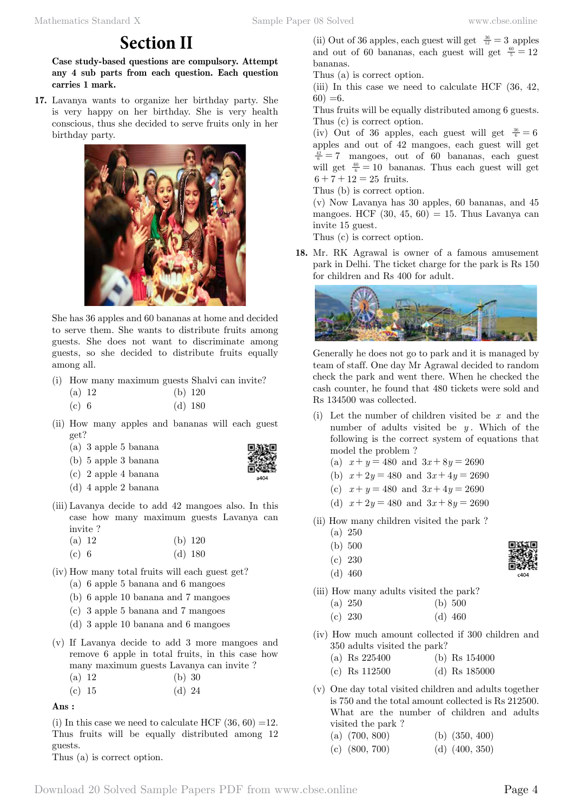## **Section II**

**Case study-based questions are compulsory. Attempt any 4 sub parts from each question. Each question carries 1 mark.**

**17.** Lavanya wants to organize her birthday party. She is very happy on her birthday. She is very health conscious, thus she decided to serve fruits only in her birthday party.



She has 36 apples and 60 bananas at home and decided to serve them. She wants to distribute fruits among guests. She does not want to discriminate among guests, so she decided to distribute fruits equally among all.

(i) How many maximum guests Shalvi can invite?

| $(a)$ 12 | (b) 120   |
|----------|-----------|
| (c) 6    | $(d)$ 180 |

- (ii) How many apples and bananas will each guest get?
	- (a) 3 apple 5 banana
	- (b) 5 apple 3 banana
	- (c) 2 apple 4 banana
	- (d) 4 apple 2 banana
- (iii) Lavanya decide to add 42 mangoes also. In this case how many maximum guests Lavanya can invite ?

| (a) 12 |  | $(b)$ 120 |
|--------|--|-----------|
| (c) 6  |  | $(d)$ 180 |

- (iv) How many total fruits will each guest get? (a) 6 apple 5 banana and 6 mangoes
	- (b) 6 apple 10 banana and 7 mangoes
	- (c) 3 apple 5 banana and 7 mangoes
	- (d) 3 apple 10 banana and 6 mangoes
- (v) If Lavanya decide to add 3 more mangoes and remove 6 apple in total fruits, in this case how many maximum guests Lavanya can invite ?
	- (a) 12 (b) 30
	- (c)  $15$  (d)  $24$

 **Ans :**

(i) In this case we need to calculate HCF  $(36, 60) =12$ . Thus fruits will be equally distributed among 12 guests.

Thus (a) is correct option.

| (ii) Out of 36 apples, each guest will get $\frac{36}{12}$ = 3 apples |
|-----------------------------------------------------------------------|
| and out of 60 bananas, each guest will get $\frac{60}{5} = 12$        |
| bananas.                                                              |

Thus (a) is correct option.

(iii) In this case we need to calculate HCF (36, 42,  $60) = 6.$ 

Thus fruits will be equally distributed among 6 guests. Thus (c) is correct option.

(iv) Out of 36 apples, each guest will get  $\frac{36}{6} = 6$ apples and out of 42 mangoes, each guest will get  $\frac{42}{6}$  = 7 mangoes, out of 60 bananas, each guest will get  $\frac{60}{6}$  = 10 bananas. Thus each guest will get  $6 + 7 + 12 = 25$  fruits.

Thus (b) is correct option.

(v) Now Lavanya has 30 apples, 60 bananas, and 45 mangoes. HCF  $(30, 45, 60) = 15$ . Thus Lavanya can invite 15 guest.

Thus (c) is correct option.

**18.** Mr. RK Agrawal is owner of a famous amusement park in Delhi. The ticket charge for the park is Rs 150 for children and Rs 400 for adult.



Generally he does not go to park and it is managed by team of staff. One day Mr Agrawal decided to random check the park and went there. When he checked the cash counter, he found that 480 tickets were sold and Rs 134500 was collected.

- (i) Let the number of children visited be *x* and the number of adults visited be  $y$ . Which of the following is the correct system of equations that model the problem ?
	- (a)  $x + y = 480$  and  $3x + 8y = 2690$
	- (b)  $x + 2y = 480$  and  $3x + 4y = 2690$
	- (c)  $x + y = 480$  and  $3x + 4y = 2690$
	- (d)  $x + 2y = 480$  and  $3x + 8y = 2690$
- (ii) How many children visited the park ?
	- (a) 250
	- (b) 500
	- (c) 230
	- (d) 460

(iii) How many adults visited the park? (a) 250 (b) 500

- (c) 230 (d) 460
- (iv) How much amount collected if 300 children and 350 adults visited the park?
	- (a) Rs 225400 (b) Rs 154000
	- (c) Rs 112500 (d) Rs 185000

(v) One day total visited children and adults together is 750 and the total amount collected is Rs 212500. What are the number of children and adults visited the park ?

(a) (700, 800) (b) (350, 400)

| (c) $(800, 700)$ |  | (d) $(400, 350)$ |
|------------------|--|------------------|
|------------------|--|------------------|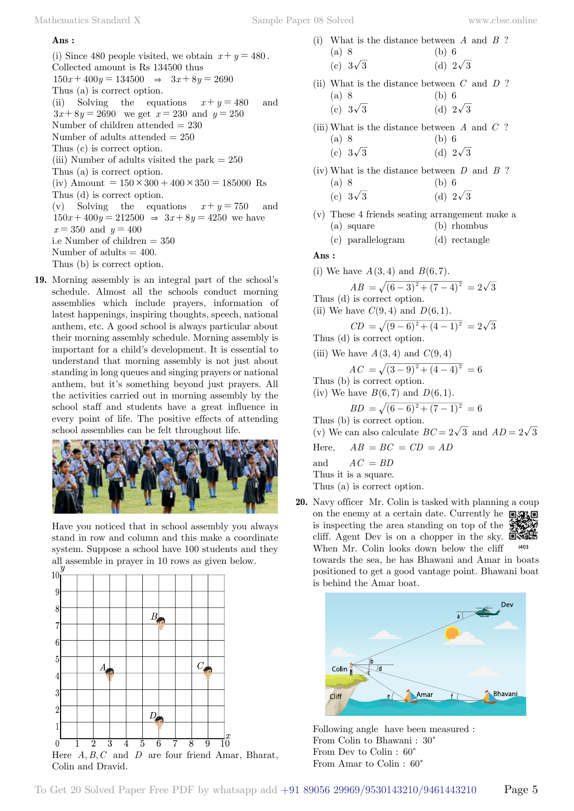### **Ans :**

(i) Since 480 people visited, we obtain  $x + y = 480$ . Collected amount is Rs 134500 thus  $150x + 400y = 134500 \Rightarrow 3x + 8y = 2690$ Thus (a) is correct option. (ii) Solving the equations  $x + y = 480$  and  $3x + 8y = 2690$  we get  $x = 230$  and  $y = 250$ Number of children attended = 230 Number of adults attended = 250 Thus (c) is correct option. (iii) Number of adults visited the park  $= 250$ Thus (a) is correct option. (iv) Amount =  $150 \times 300 + 400 \times 350 = 185000$  Rs Thus (d) is correct option. (v) Solving the equations  $x + y = 750$  and  $150x + 400y = 212500 \Rightarrow 3x + 8y = 4250$  we have  $x = 350$  and  $y = 400$ i.e Number of children  $=$  350 Number of adults  $= 400$ . Thus (b) is correct option.

**19.** Morning assembly is an integral part of the school's schedule. Almost all the schools conduct morning assemblies which include prayers, information of latest happenings, inspiring thoughts, speech, national anthem, etc. A good school is always particular about their morning assembly schedule. Morning assembly is important for a child's development. It is essential to understand that morning assembly is not just about standing in long queues and singing prayers or national anthem, but it's something beyond just prayers. All the activities carried out in morning assembly by the school staff and students have a great influence in every point of life. The positive effects of attending school assemblies can be felt throughout life.



Have you noticed that in school assembly you always stand in row and column and this make a coordinate system. Suppose a school have 100 students and they all assemble in prayer in 10 rows as given below.



|                 | (i) What is the distance between $A$ and $B$ ? |
|-----------------|------------------------------------------------|
| (a) 8           | (b) 6                                          |
| (c) $3\sqrt{3}$ | (d) $2\sqrt{3}$                                |

- (ii) What is the distance between *C* and *D* ? (a) 8 (b) 6 (c)  $3\sqrt{3}$  (d)  $2\sqrt{3}$
- (iii) What is the distance between *A* and *C* ?
- (a) 8 (b) 6 (c)  $3\sqrt{3}$  (d)  $2\sqrt{3}$
- (iv) What is the distance between *D* and *B* ? (a) 8 (b) 6
	- (c)  $3\sqrt{3}$  (d)  $2\sqrt{3}$
- (v) These 4 friends seating arrangement make a (a) square (b) rhombus
	- (c) parallelogram (d) rectangle

### **Ans :**

- (i) We have  $A(3, 4)$  and  $B(6, 7)$ .
- $AB = \sqrt{(6-3)^2 + (7-4)^2} = 2\sqrt{3}$ Thus (d) is correct option.
- (ii) We have  $C(9, 4)$  and  $D(6, 1)$ .

$$
CD = \sqrt{(9-6)^2 + (4-1)^2} = 2\sqrt{3}
$$

Thus (d) is correct option.

(iii) We have 
$$
A(3, 4)
$$
 and  $C(9, 4)$ 

 $AC = \sqrt{(3-9)^2 + (4-4)^2} = 6$ 

Thus (b) is correct option. (iv) We have  $B(6, 7)$  and  $D(6, 1)$ .

$$
BD = \sqrt{(6-6)^2 + (7-1)^2} = 6
$$

Thus (b) is correct option.

(v) We can also calculate  $BC = 2\sqrt{3}$  and  $AD = 2\sqrt{3}$ 

Here,  $AB = BC = CD = AD$ 

and  $AC = BD$ 

Thus it is a square.

Thus (a) is correct option.

**20.** Navy officer Mr. Colin is tasked with planning a coup on the enemy at a certain date. Currently he  $\Box$ is inspecting the area standing on top of the cliff. Agent Dev is on a chopper in the sky.  $\Box$ When Mr. Colin looks down below the cliff

towards the sea, he has Bhawani and Amar in boats positioned to get a good vantage point. Bhawani boat is behind the Amar boat.



Following angle have been measured : From Colin to Bhawani :  $30^\circ$ From Dev to Colin :  $60^\circ$ From Amar to Colin :  $60^{\circ}$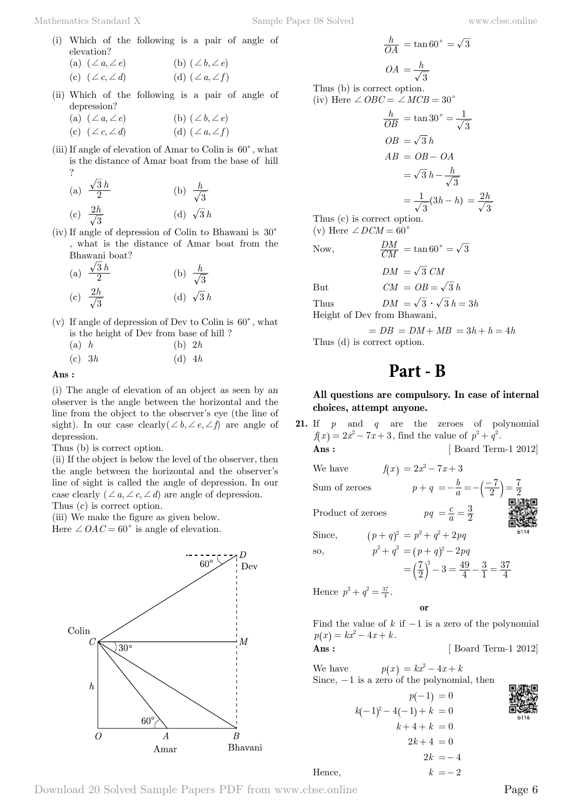- (i) Which of the following is a pair of angle of elevation?
	- (a)  $(\angle a, \angle e)$  (b)  $(\angle b, \angle e)$ (c)  $(\angle c, \angle d)$  (d)  $(\angle a, \angle f)$
- (ii) Which of the following is a pair of angle of depression?
	- (a)  $(\angle a, \angle e)$  (b)  $(\angle b, \angle e)$ (c)  $(\angle c, \angle d)$  (d)  $(\angle a, \angle f)$
- (iii) If angle of elevation of Amar to Colin is  $60^{\circ}$ , what is the distance of Amar boat from the base of hill ?

(a) 
$$
\frac{\sqrt{3}h}{2}
$$
 (b)  $\frac{h}{\sqrt{3}}$   
(c)  $\frac{2h}{\sqrt{3}}$  (d)  $\sqrt{3}h$ 

(iv) If angle of depression of Colin to Bhawani is  $30^{\circ}$ , what is the distance of Amar boat from the Bhawani boat?

(a) 
$$
\frac{\sqrt{3}h}{2}
$$
 (b)  $\frac{h}{\sqrt{3}}$   
(c)  $\frac{2h}{\sqrt{3}}$  (d)  $\sqrt{3}h$ 

- (v) If angle of depression of Dev to Colin is  $60^{\circ}$ , what is the height of Dev from base of hill ?
	- (a) *h* (b) 2*h* (c) 3*h* (d) 4*h*

 **Ans :**

(i) The angle of elevation of an object as seen by an observer is the angle between the horizontal and the line from the object to the observer's eye (the line of sight). In our case clearly  $(\angle b, \angle e, \angle f)$  are angle of depression.

Thus (b) is correct option.

(ii) If the object is below the level of the observer, then the angle between the horizontal and the observer's line of sight is called the angle of depression. In our case clearly  $(\angle a, \angle c, \angle d)$  are angle of depression. Thus (c) is correct option.

(iii) We make the figure as given below.

Here  $\angle OAC = 60^{\circ}$  is angle of elevation.



$$
\frac{h}{OA} = \tan 60^{\circ} = \sqrt{3}
$$

$$
OA = \frac{h}{\sqrt{3}}
$$

Thus (b) is correct option. (iv) Here  $\angle OBC = \angle MCB = 30^{\circ}$ 

$$
\frac{h}{OB} = \tan 30^{\circ} = \frac{1}{\sqrt{3}}
$$
  

$$
OB = \sqrt{3} h
$$
  

$$
AB = OB - OA
$$
  

$$
= \sqrt{3} h - \frac{h}{\sqrt{3}}
$$
  

$$
= \frac{1}{\sqrt{3}} (3h - h) = \frac{2h}{\sqrt{3}}
$$
  
Thus (c) is correct option

 $CM$ 

Thus (c) is correct option. (v) Here  $\angle$  *DCM* = 60<sup>°</sup>

Now, 
$$
\frac{DM}{CM} = \tan 60^{\circ} = \sqrt{3}
$$

$$
DM\ =\sqrt{3}
$$

But  $CM = OB = \sqrt{3}h$ 

Thus  $DM = \sqrt{3} \cdot \sqrt{3} h = 3h$ 

Height of Dev from Bhawani,

 $= DB = DM + MB = 3h + h = 4h$ Thus (d) is correct option.

# **Part - B**

### **All questions are compulsory. In case of internal choices, attempt anyone.**

**21.** If *p* and *q* are the zeroes of polynomial  $f(x) = 2x^2 - 7x + 3$ , find the value of  $p^2 + q^2$ . **Ans :** [ Board Term-1 2012]

We have  $f(x) = 2x^2 - 7x + 3$ Sum of zeroes  $p + q = -\frac{b}{a}$ 2  $=-\frac{b}{a}=-\left(\frac{-7}{2}\right)=\frac{7}{2}$ 2 Product of zeroes *c*  $=\frac{c}{a}=\frac{3}{2}$ Since,  $(p+q)^2 = p^2 + q^2 + 2pq$ so,  $p^2 + q^2 = (p + q)^2 - 2pq$  $=\left(\frac{7}{2}\right)^2-3=\frac{49}{4}$ 1 3 4  $=\left(\frac{7}{2}\right)^2 - 3 = \frac{49}{4} - \frac{3}{1} = \frac{37}{4}$ 

Hence  $p^2 + q^2 = \frac{37}{4}$ .

Hence.

 **o**

Find the value of  $k$  if  $-1$  is a zero of the polynomial  $p(x) = kx^2 - 4x + k.$ 

**Ans :** [ Board Term-1 2012]

We have  $p(x) = kx^2 - 4x + k$ Since,  $-1$  is a zero of the polynomial, then

$$
p(-1) = 0
$$
  
\n
$$
k(-1)^{2} - 4(-1) + k = 0
$$
  
\n
$$
k + 4 + k = 0
$$
  
\n
$$
2k + 4 = 0
$$
  
\n
$$
2k = -4
$$
  
\n
$$
k = -2
$$

Download 20 Solved Sample Papers PDF from [www.cbse.online](http://www.cbse.online) Page 6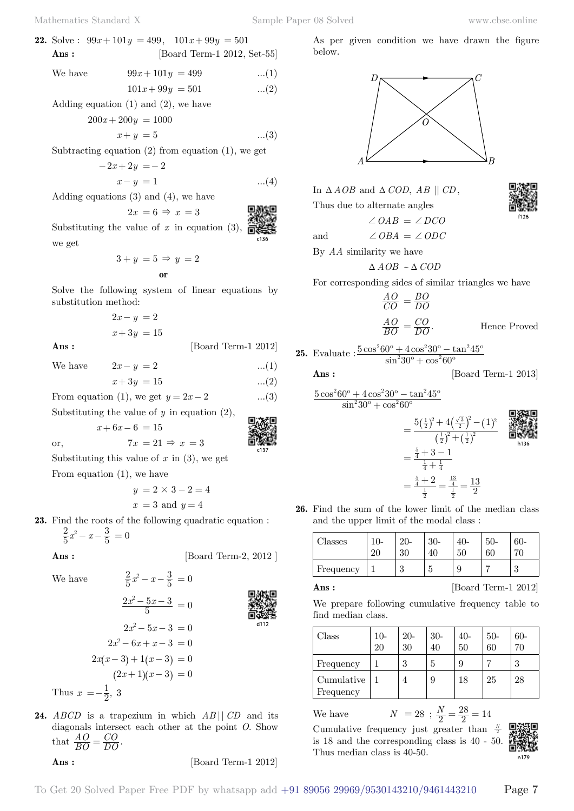**22.** Solve:  $99x + 101y = 499$ ,  $101x + 99y = 501$ **Ans :** [Board Term-1 2012, Set-55]

We have 
$$
99x + 101y = 499
$$
 ...(1)

$$
101x + 99y = 501 \qquad \dots (2)
$$

Adding equation  $(1)$  and  $(2)$ , we have

$$
200x + 200y = 1000
$$

$$
x + y = 5 \tag{3}
$$

Subtracting equation  $(2)$  from equation  $(1)$ , we get

$$
-2x + 2y = -2
$$

$$
x - y = 1 \tag{4}
$$

Adding equations (3) and (4), we have

$$
2x = 6 \Rightarrow x = 3
$$

Substituting the value of *x* in equation (3), 高岩  $c136$ we get

$$
3 + y = 5 \Rightarrow y = 2
$$
  
or

Solve the following system of linear equations by substitution method:

$$
2x - y = 2
$$

$$
x + 3y = 15
$$

**Ans :** [Board Term-1 2012]

We have 
$$
2x - y = 2
$$
 ...(1)

 $x + 3y = 15$  ...(2)

From equation (1), we get  $y = 2x - 2$  ...(3)

Substituting the value of *y* in equation (2),

 $x + 6x - 6 = 15$ 

or,  $7x = 21 \Rightarrow x = 3$ Substituting this value of  $x$  in  $(3)$ , we get

From equation (1), we have

$$
y = 2 \times 3 - 2 = 4
$$
  

$$
x = 3 \text{ and } y = 4
$$

**23.** Find the roots of the following quadratic equation :  $\frac{2}{5}x^2 - x - \frac{3}{5} = 0$ 

**Ans :** [Board Term-2, 2012 ]



$$
\frac{2}{5}x^2 - x - \frac{3}{5} = 0
$$

$$
\frac{2x^2 - 5x - 3}{5} = 0
$$

$$
2x^2 - 5x - 3 = 0
$$

$$
2x^2 - 6x + x - 3 = 0
$$

$$
x - 3 + 1(x - 3) = 0
$$

$$
(2x + 1)(x - 3) = 0
$$

Thus  $x = -\frac{1}{2}$ , 3

 $2x(x - )$ 

**24.** *ABCD* is a trapezium in which *AB* || *CD* and its diagonals intersect each other at the point *O*. Show that  $\frac{AO}{BO} = \frac{CO}{DO}$ .  $=\frac{CO}{DO}$ 

### **Ans :** [Board Term-1 2012]

As per given condition we have drawn the figure below.



In  $\triangle AOB$  and  $\triangle COD$ ,  $AB \parallel CD$ ,

Thus due to alternate angles

 $\angle OAB = \angle DCO$ 

and  $\angle OBA = \angle ODC$ 

By 
$$
AA
$$
 similarity we have

 $\triangle AOB \sim \triangle COD$ 

For corresponding sides of similar triangles we have

$$
\frac{AO}{CO} = \frac{BO}{DO}
$$
  

$$
\frac{AO}{BO} = \frac{CO}{DO}.
$$
 Hence Proved

**25.** Evaluate : 
$$
\frac{5\cos^2 60^\circ + 4\cos^2 30^\circ - \tan^2 45^\circ}{\sin^2 30^\circ + \cos^2 60^\circ}
$$

$$
Ans : \qquad \qquad [\text{Board Term-1 2013}]
$$

$$
\frac{5\cos^2 60^{\circ} + 4\cos^2 30^{\circ} - \tan^2 45^{\circ}}{\sin^2 30^{\circ} + \cos^2 60^{\circ}}
$$

$$
= \frac{5(\frac{1}{2})^2 + 4(\frac{\sqrt{3}}{2})^2 - (1)^2}{(\frac{1}{2})^2 + (\frac{1}{2})^2}
$$
  

$$
= \frac{\frac{5}{4} + 3 - 1}{\frac{1}{4} + \frac{1}{4}}
$$
  

$$
= \frac{\frac{5}{4} + 2}{\frac{1}{2}} = \frac{\frac{13}{4}}{\frac{1}{2}} = \frac{13}{2}
$$

**26.** Find the sum of the lower limit of the median class and the upper limit of the modal class :

| lasses.   | $10-$ | $20-$<br>30 | $30-$<br>40 | 40-<br>50 | $50-$<br>60 | $60-$<br>70    |
|-----------|-------|-------------|-------------|-----------|-------------|----------------|
| Frequency |       | ິ<br>υl     | r<br>ت      | 9         |             | $\Omega$<br>٠J |

$$
Ans: \qquad \qquad [\text{Board Term-1 2012}]
$$

We prepare following cumulative frequency table to find median class.

| Class                   | $10-$<br>20 | $20-$<br>30 | $30-$<br>40 | $40-$<br>50 | $50-$<br>60 | 60-<br>70 |
|-------------------------|-------------|-------------|-------------|-------------|-------------|-----------|
| Frequency               |             | 3           | 5           | 9           |             | 3         |
| Cumulative<br>Frequency |             | 4           | 9           | 18          | 25          | 28        |

We have  $N = 28$ ;  $\frac{N}{2}$  $\frac{N}{2} = \frac{28}{2} = 14$ Cumulative frequency just greater than  $\frac{N}{2}$ is 18 and the corresponding class is 40 - 50. Thus median class is 40-50.

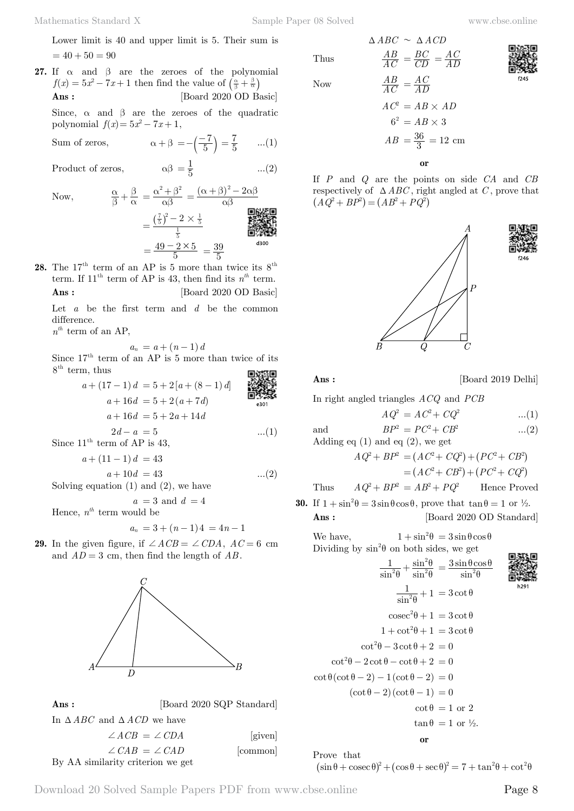Lower limit is 40 and upper limit is 5. Their sum is  $= 40 + 50 = 90$ 

**27.** If  $\alpha$  and  $\beta$  are the zeroes of the polynomial  $f(x) = 5x^2 - 7x + 1$  then find the value of  $\left(\frac{\alpha}{\beta} + \frac{\beta}{\alpha}\right)$ **Ans :** [Board 2020 OD Basic]

Since,  $\alpha$  and  $\beta$  are the zeroes of the quadratic polynomial  $f(x) = 5x^2 - 7x + 1$ ,

Sum of zeros,  $\alpha + \beta = -\left(\frac{-7}{5}\right) = \frac{7}{5}$  ...(1)

Product of zeros,  $\alpha\beta = \frac{1}{5}$  ...(2)

Now,  $\frac{\alpha}{\beta}$ 

Now,  
\n
$$
\frac{\alpha}{\beta} + \frac{\beta}{\alpha} = \frac{\alpha^2 + \beta^2}{\alpha\beta} = \frac{(\alpha + \beta)^2 - 2\alpha\beta}{\alpha\beta}
$$
\n
$$
= \frac{(\frac{7}{5})^2 - 2 \times \frac{1}{5}}{\frac{1}{5}}
$$
\n
$$
= \frac{49 - 2 \times 5}{5} = \frac{39}{5}
$$
\n
$$
\frac{3300}{3300}
$$

**28.** The  $17<sup>th</sup>$  term of an AP is 5 more than twice its  $8<sup>th</sup>$ term. If  $11<sup>th</sup>$  term of AP is 43, then find its  $n<sup>th</sup>$  term. **Ans :** [Board 2020 OD Basic]

Let *a* be the first term and *d* be the common difference.

 $n^{th}$  term of an AP,

 $a_n = a + (n-1) d$ 

Since  $17<sup>th</sup>$  term of an AP is 5 more than twice of its  $8^{\text{th}}$  term, thus

> $a + (17 - 1) d = 5 + 2 [a + (8 - 1) d]$  $a + 16d = 5 + 2(a + 7d)$ e301  $a + 16d = 5 + 2a + 14d$  $2d - a = 5$  ...(1)

Since  $11<sup>th</sup>$  term of AP is 43.

$$
a + (11 - 1)d = 43
$$
  

$$
a + 10d = 43
$$
 (2)

 $a + 10d = 43$  ...(2) Solving equation  $(1)$  and  $(2)$ , we have

 $a = 3$  and  $d = 4$ 

Hence,  $n^{th}$  term would be

$$
a_n = 3 + (n-1)4 = 4n - 1
$$

**29.** In the given figure, if  $\angle ACB = \angle CDA$ ,  $AC = 6$  cm and  $AD = 3$  cm, then find the length of  $AB$ .



| Ans:                                           | [Board 2020 SQP Standard] |          |
|------------------------------------------------|---------------------------|----------|
| In $\triangle ABC$ and $\triangle ACD$ we have |                           |          |
| $\angle ACB = \angle CDA$                      |                           | [given]  |
| $\angle$ CAB = $\angle$ CAD                    |                           | [common] |
| By AA similarity criterion we get              |                           |          |

Thus *AC*  $Now$ 

$$
\frac{AB}{AC} = \frac{BC}{CD} = \frac{AC}{AD}
$$

$$
\frac{AB}{AC} = \frac{AC}{AD}
$$

$$
AC^2 = AB \times AD
$$

$$
6^2 = AB \times 3
$$

$$
AB = \frac{36}{3} = 12 \text{ cm}
$$

 $\triangle ABC \sim \triangle ACD$ 

 **o**

If *P* and *Q* are the points on side *CA* and *CB* respectively of  $\triangle ABC$ , right angled at *C*, prove that  $(AQ^2 + BP^2) = (AB^2 + PQ^2)$ 



**Ans :** [Board 2019 Delhi]

In right angled triangles *ACQ* and *PCB*

$$
AQ^{2} = AC^{2} + CQ^{2}
$$
 ...(1)  
and  

$$
BP^{2} = PC^{2} + CB^{2}
$$
 ...(2)  
Adding eq (1) and eq (2), we get

$$
AQ^{2} + BP^{2} = (AC^{2} + CQ^{2}) + (PC^{2} + CB^{2})
$$
  
=  $(AC^{2} + CB^{2}) + (PC^{2} + CQ^{2})$ 

Thus 
$$
AQ^2 + BP^2 = AB^2 + PQ^2
$$
 Hence Proved

**30.** If  $1 + \sin^2 \theta = 3 \sin \theta \cos \theta$ , prove that  $\tan \theta = 1$  or  $\frac{1}{2}$ . **Ans :** [Board 2020 OD Standard]

We have,  $1 + \sin^2 \theta = 3 \sin \theta \cos \theta$ Dividing by  $\sin^2\theta$  on both sides, we get

$$
\begin{array}{c}\n\text{MSE} \\
\text{MSE} \\
\text{MSE} \\
\text{MSE} \\
\text{MSE} \\
\text{MSE} \\
\text{MSE} \\
\text{MSE} \\
\text{MSE} \\
\text{MSE} \\
\text{MSE} \\
\text{MSE} \\
\text{MSE} \\
\text{MSE} \\
\text{MSE} \\
\text{MSE} \\
\text{MSE} \\
\text{MSE} \\
\text{MSE} \\
\text{MSE} \\
\text{MSE} \\
\text{MSE} \\
\text{MSE} \\
\text{MSE} \\
\text{MSE} \\
\text{MSE} \\
\text{MSE} \\
\text{MSE} \\
\text{MSE} \\
\text{MSE} \\
\text{MSE} \\
\text{MSE} \\
\text{MSE} \\
\text{MSE} \\
\text{MSE} \\
\text{MSE} \\
\text{MSE} \\
\text{MSE} \\
\text{MSE} \\
\text{MSE} \\
\text{MSE} \\
\text{MSE} \\
\text{MSE} \\
\text{MSE} \\
\text{MSE} \\
\text{MSE} \\
\text{MSE} \\
\text{MSE} \\
\text{MSE} \\
\text{MSE} \\
\text{MSE} \\
\text{MSE} \\
\text{MSE} \\
\text{MSE} \\
\text{MSE} \\
\text{MSE} \\
\text{MSE} \\
\text{MSE} \\
\text{MSE} \\
\text{MSE} \\
\text{MSE} \\
\text{MSE} \\
\text{MSE} \\
\text{MSE} \\
\text{MSE} \\
\text{MSE} \\
\text{MSE} \\
\text{MSE} \\
\text{MSE} \\
\text{MSE} \\
\text{MSE} \\
\text{MSE} \\
\text{MSE} \\
\text{MSE} \\
\text{MSE} \\
\text{MSE} \\
\text{MSE} \\
\text{MSE} \\
\text{MSE} \\
\text{MSE} \\
\text{MSE} \\
\text{MSE} \\
\text{MSE} \\
\text{MSE} \\
\text{MSE} \\
\text{MSE} \\
\text{MSE} \\
\text{MSE} \\
\text{MSE} \\
\text{MSE} \\
\text{MSE} \\
\text{MSE} \\
\text{MSE} \\
\text{MSE} \\
\text{MSE} \\
\text{MSE} \\
\text{MSE} \\
\text{MSE} \\
\text{MSE} \\
\text{MSE} \\
\text{MSE} \\
\text{MSE} \\
\text{MSE} \\
\text{MSE} \\
\text{MSE} \\
\text{MSE} \\
\text{MSE} \\
\text{
$$

$$
\frac{1}{\sin^2 \theta} + \frac{\sin^2 \theta}{\sin^2 \theta} = \frac{3 \sin \theta \cos \theta}{\sin^2 \theta}
$$

$$
\frac{1}{\sin^2 \theta} + 1 = 3 \cot \theta
$$

$$
\csc^2 \theta + 1 = 3 \cot \theta
$$

$$
1 + \cot^2 \theta + 1 = 3 \cot \theta
$$

$$
\cot^2 \theta - 3 \cot \theta + 2 = 0
$$

$$
\cot^2 \theta - 2 \cot \theta - \cot \theta + 2 = 0
$$

$$
\cot \theta (\cot \theta - 2) - 1(\cot \theta - 2) = 0
$$

$$
(\cot \theta - 2)(\cot \theta - 1) = 0
$$

$$
\cot \theta = 1 \text{ or } 2
$$

$$
\tan \theta = 1 \text{ or } \frac{1}{2}.
$$
or

Prove that  $\sin \theta + \csc \theta^2 + (\cos \theta + \sec \theta)^2 = 7 + \tan^2 \theta + \cot^2 \theta$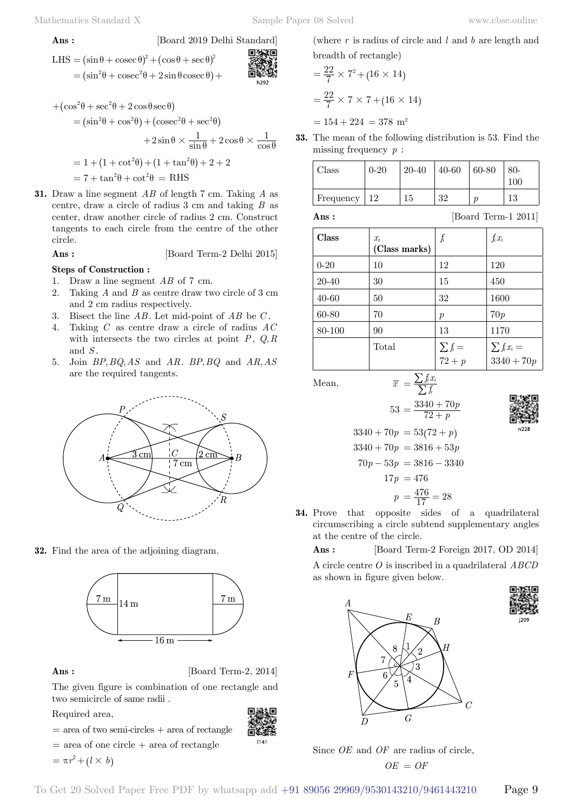**Ans :** [Board 2019 Delhi Standard]

LHS = 
$$
(\sin \theta + \csc \theta)^2 + (\cos \theta + \sec \theta)^2
$$
  
=  $(\sin^2 \theta + \csc^2 \theta + 2 \sin \theta \csc \theta) +$ 

$$
+(\cos^2\theta + \sec^2\theta + 2\cos\theta\sec\theta)
$$
  
=  $(\sin^2\theta + \cos^2\theta) + (\csc^2\theta + \sec^2\theta)$   
 $+ 2\sin\theta \times \frac{1}{\sin\theta} + 2\cos\theta \times \frac{1}{\cos\theta}$   
=  $1 + (1 + \cot^2\theta) + (1 + \tan^2\theta) + 2 + 2$ 

 $= 7 + \tan^2 \theta + \cot^2 \theta = RHS$ 

**31.** Draw a line segment *AB* of length 7 cm. Taking *A* as centre, draw a circle of radius 3 cm and taking *B* as center, draw another circle of radius 2 cm. Construct tangents to each circle from the centre of the other circle.

**Ans :** [Board Term-2 Delhi 2015]

#### **Steps of Construction :**

- 1. Draw a line segment *AB* of 7 cm.
- 2. Taking *A* and *B* as centre draw two circle of 3 cm and 2 cm radius respectively.
- 3. Bisect the line *AB* . Let mid-point of *AB* be *C* .
- 4. Taking *C* as centre draw a circle of radius *AC* with intersects the two circles at point  $P$ ,  $Q, R$ and *S* .
- 5. Join *BP*, *BQ*, *AS* and *AR*. *BP*, *BQ* and *AR*, *AS* are the required tangents.



**32.** Find the area of the adjoining diagram.



**Ans :** [Board Term-2, 2014]

The given figure is combination of one rectangle and two semicircle of same radii .

Required area,

- 回避回
- $=$  area of two semi-circles  $+$  area of rectangle  $=$  area of one circle  $+$  area of rectangle

 $= \pi r^2 + (l \times b)$ 

breadth of rectangle)  
= 
$$
\frac{22}{7} \times 7^2 + (16 \times 14)
$$
  
=  $\frac{22}{7} \times 7 \times 7 + (16 \times 14)$   
= 154 + 224 = 378 m<sup>2</sup>

**33.** The mean of the following distribution is 53. Find the missing frequency *p* :

(where *r* is radius of circle and *l* and *b* are length and

| $\gamma$ lass | $0 - 20$ | $20 - 40$ | $40 - 60$ | $ 60-80$ | $80-$<br>100 |
|---------------|----------|-----------|-----------|----------|--------------|
| Frequency     | -12      | l5        | 32        |          | 1 ດ<br>ΙJ    |

**Ans :** [Board Term-1 2011]

| Class    | $x_i$<br>(Class marks) | $f_i$                    | $f_i x_i$                        |
|----------|------------------------|--------------------------|----------------------------------|
| $0 - 20$ | 10                     | 12                       | 120                              |
| 20-40    | 30                     | 15                       | 450                              |
| 40-60    | 50                     | 32                       | 1600                             |
| 60-80    | 70                     | $\boldsymbol{p}$         | 70p                              |
| 80-100   | 90                     | 13                       | 1170                             |
|          | Total                  | $\sum f_i =$<br>$72 + p$ | $\sum f_i x_i =$<br>$3340 + 70p$ |
|          |                        |                          |                                  |

Mean,  $\overline{x} = \frac{\sum f_i x}{\sum f_i}$ 



$$
\frac{1}{2}
$$

$$
3340 + 70p = 53(72 + p)
$$
  
\n
$$
3340 + 70p = 3816 + 53p
$$
  
\n
$$
70p - 53p = 3816 - 3340
$$
  
\n
$$
17p = 476
$$
  
\n
$$
p = \frac{476}{17} = 28
$$

 $=\frac{\sum f_i x_i}{\sum f_i}$ 

 $53 = \frac{3340+1}{72+p}$ 

 $=\frac{3340+70}{72+p}$ 

*p*

**34.** Prove that opposite sides of a quadrilateral circumscribing a circle subtend supplementary angles at the centre of the circle.

 **Ans :** [Board Term-2 Foreign 2017, OD 2014]

A circle centre *O* is inscribed in a quadrilateral *ABCD* as shown in figure given below.



Since *OE* and *OF* are radius of circle,

To Get 20 Solved Paper Free PDF by whatsapp add +91 89056 29969/9530143210/9461443210 Page 9